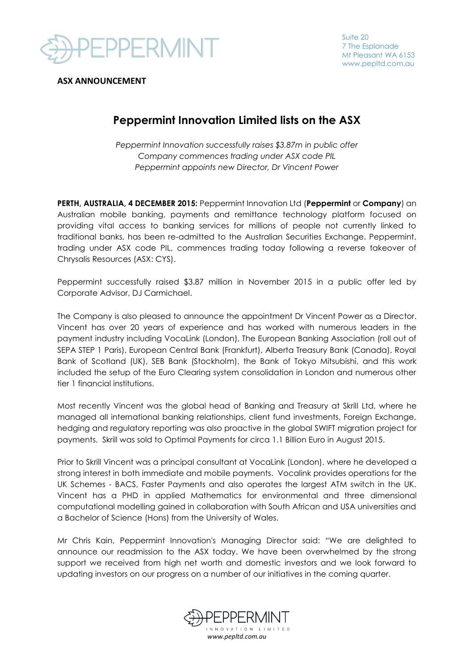

Suite 20 7 The Esplanade Mt Pleasant WA 6153 www.pepltd.com.au

**ASX ANNOUNCEMENT**

## **Peppermint Innovation Limited lists on the ASX**

*Peppermint Innovation successfully raises \$3.87m in public offer Company commences trading under ASX code PIL Peppermint appoints new Director, Dr Vincent Power* 

**PERTH, AUSTRALIA, 4 DECEMBER 2015:** Peppermint Innovation Ltd (**Peppermint** or **Company**) an Australian mobile banking, payments and remittance technology platform focused on providing vital access to banking services for millions of people not currently linked to traditional banks, has been re-admitted to the Australian Securities Exchange. Peppermint, trading under ASX code PIL, commences trading today following a reverse takeover of Chrysalis Resources (ASX: CYS).

Peppermint successfully raised \$3.87 million in November 2015 in a public offer led by Corporate Advisor, DJ Carmichael.

The Company is also pleased to announce the appointment Dr Vincent Power as a Director. Vincent has over 20 years of experience and has worked with numerous leaders in the payment industry including VocaLink (London), The European Banking Association (roll out of SEPA STEP 1 Paris), European Central Bank (Frankfurt), Alberta Treasury Bank (Canada), Royal Bank of Scotland (UK), SEB Bank (Stockholm), the Bank of Tokyo Mitsubishi, and this work included the setup of the Euro Clearing system consolidation in London and numerous other tier 1 financial institutions.

Most recently Vincent was the global head of Banking and Treasury at Skrill Ltd, where he managed all international banking relationships, client fund investments, Foreign Exchange, hedging and regulatory reporting was also proactive in the global SWIFT migration project for payments. Skrill was sold to Optimal Payments for circa 1.1 Billion Euro in August 2015.

Prior to Skrill Vincent was a principal consultant at VocaLink (London), where he developed a strong interest in both immediate and mobile payments. Vocalink provides operations for the UK Schemes - BACS, Faster Payments and also operates the largest ATM switch in the UK. Vincent has a PHD in applied Mathematics for environmental and three dimensional computational modelling gained in collaboration with South African and USA universities and a Bachelor of Science (Hons) from the University of Wales.

Mr Chris Kain, Peppermint Innovation's Managing Director said: "We are delighted to announce our readmission to the ASX today. We have been overwhelmed by the strong support we received from high net worth and domestic investors and we look forward to updating investors on our progress on a number of our initiatives in the coming quarter.